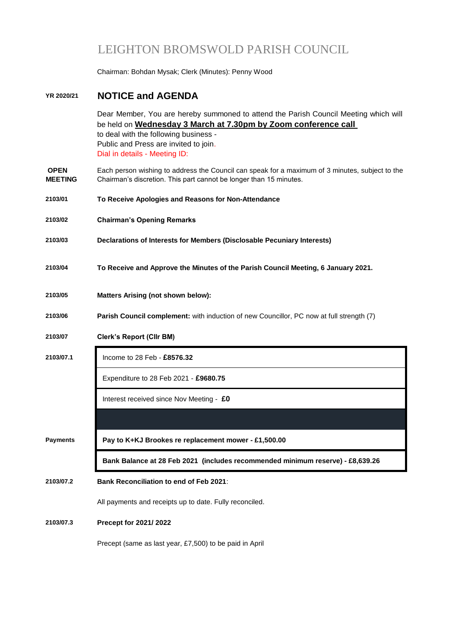## LEIGHTON BROMSWOLD PARISH COUNCIL

**S** Chairman: Bohdan Mysak; Clerk (Minutes): Penny Wood

## **YR 2020/21 NOTICE and AGENDA**

|                               | Dear Member, You are hereby summoned to attend the Parish Council Meeting which will<br>be held on Wednesday 3 March at 7.30pm by Zoom conference call<br>to deal with the following business -<br>Public and Press are invited to join.<br>Dial in details - Meeting ID: |
|-------------------------------|---------------------------------------------------------------------------------------------------------------------------------------------------------------------------------------------------------------------------------------------------------------------------|
| <b>OPEN</b><br><b>MEETING</b> | Each person wishing to address the Council can speak for a maximum of 3 minutes, subject to the<br>Chairman's discretion. This part cannot be longer than 15 minutes.                                                                                                     |
| 2103/01                       | To Receive Apologies and Reasons for Non-Attendance                                                                                                                                                                                                                       |
| 2103/02                       | <b>Chairman's Opening Remarks</b>                                                                                                                                                                                                                                         |
| 2103/03                       | Declarations of Interests for Members (Disclosable Pecuniary Interests)                                                                                                                                                                                                   |
| 2103/04                       | To Receive and Approve the Minutes of the Parish Council Meeting, 6 January 2021.                                                                                                                                                                                         |
| 2103/05                       | <b>Matters Arising (not shown below):</b>                                                                                                                                                                                                                                 |
| 2103/06                       | Parish Council complement: with induction of new Councillor, PC now at full strength (7)                                                                                                                                                                                  |
| 2103/07                       | <b>Clerk's Report (Cllr BM)</b>                                                                                                                                                                                                                                           |
| 2103/07.1                     | Income to 28 Feb - £8576.32                                                                                                                                                                                                                                               |
|                               | Expenditure to 28 Feb 2021 - £9680.75                                                                                                                                                                                                                                     |
|                               | Interest received since Nov Meeting - £0                                                                                                                                                                                                                                  |
|                               |                                                                                                                                                                                                                                                                           |
| <b>Payments</b>               | Pay to K+KJ Brookes re replacement mower - £1,500.00                                                                                                                                                                                                                      |
|                               | Bank Balance at 28 Feb 2021 (includes recommended minimum reserve) - £8,639.26                                                                                                                                                                                            |
| 2103/07.2                     | <b>Bank Reconciliation to end of Feb 2021:</b>                                                                                                                                                                                                                            |
|                               | All payments and receipts up to date. Fully reconciled.                                                                                                                                                                                                                   |
| 2103/07.3                     | Precept for 2021/2022                                                                                                                                                                                                                                                     |

**S** Precept (same as last year, £7,500) to be paid in April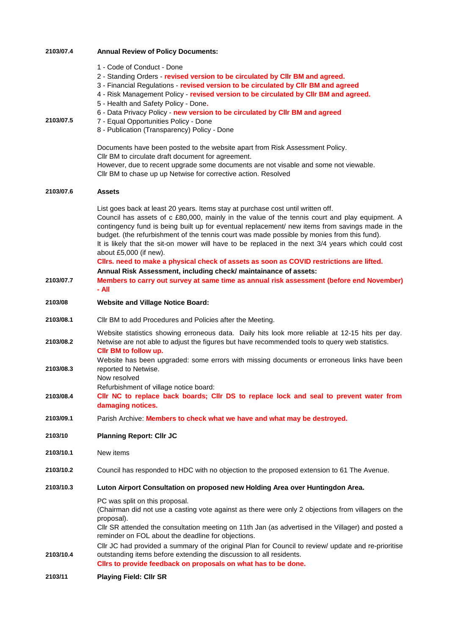| 2103/07.4 | <b>Annual Review of Policy Documents:</b>                                                                                                                                                                                                                                                                                                                                                                                                                                                                                                                                                                                                                                            |
|-----------|--------------------------------------------------------------------------------------------------------------------------------------------------------------------------------------------------------------------------------------------------------------------------------------------------------------------------------------------------------------------------------------------------------------------------------------------------------------------------------------------------------------------------------------------------------------------------------------------------------------------------------------------------------------------------------------|
|           | 1 - Code of Conduct - Done<br>2 - Standing Orders - revised version to be circulated by Cllr BM and agreed.<br>3 - Financial Regulations - revised version to be circulated by Cllr BM and agreed<br>4 - Risk Management Policy - revised version to be circulated by Cllr BM and agreed.<br>5 - Health and Safety Policy - Done.                                                                                                                                                                                                                                                                                                                                                    |
| 2103/07.5 | 6 - Data Privacy Policy - new version to be circulated by Cllr BM and agreed<br>7 - Equal Opportunities Policy - Done<br>8 - Publication (Transparency) Policy - Done                                                                                                                                                                                                                                                                                                                                                                                                                                                                                                                |
|           | Documents have been posted to the website apart from Risk Assessment Policy.<br>Cllr BM to circulate draft document for agreement.<br>However, due to recent upgrade some documents are not visable and some not viewable.<br>Cllr BM to chase up up Netwise for corrective action. Resolved                                                                                                                                                                                                                                                                                                                                                                                         |
| 2103/07.6 | <b>Assets</b>                                                                                                                                                                                                                                                                                                                                                                                                                                                                                                                                                                                                                                                                        |
|           | List goes back at least 20 years. Items stay at purchase cost until written off.<br>Council has assets of c £80,000, mainly in the value of the tennis court and play equipment. A<br>contingency fund is being built up for eventual replacement/ new items from savings made in the<br>budget. (the refurbishment of the tennis court was made possible by monies from this fund).<br>It is likely that the sit-on mower will have to be replaced in the next 3/4 years which could cost<br>about £5,000 (if new).<br>Cllrs. need to make a physical check of assets as soon as COVID restrictions are lifted.<br>Annual Risk Assessment, including check/ maintainance of assets: |
| 2103/07.7 | Members to carry out survey at same time as annual risk assessment (before end November)<br>- All                                                                                                                                                                                                                                                                                                                                                                                                                                                                                                                                                                                    |
| 2103/08   | <b>Website and Village Notice Board:</b>                                                                                                                                                                                                                                                                                                                                                                                                                                                                                                                                                                                                                                             |
| 2103/08.1 | Cllr BM to add Procedures and Policies after the Meeting.                                                                                                                                                                                                                                                                                                                                                                                                                                                                                                                                                                                                                            |
| 2103/08.2 | Website statistics showing erroneous data. Daily hits look more reliable at 12-15 hits per day.<br>Netwise are not able to adjust the figures but have recommended tools to query web statistics.<br>Cllr BM to follow up.                                                                                                                                                                                                                                                                                                                                                                                                                                                           |
| 2103/08.3 | Website has been upgraded: some errors with missing documents or erroneous links have been<br>reported to Netwise.<br>Now resolved                                                                                                                                                                                                                                                                                                                                                                                                                                                                                                                                                   |
| 2103/08.4 | Refurbishment of village notice board:<br>CIIr NC to replace back boards; CIIr DS to replace lock and seal to prevent water from<br>damaging notices.                                                                                                                                                                                                                                                                                                                                                                                                                                                                                                                                |
| 2103/09.1 | Parish Archive: Members to check what we have and what may be destroyed.                                                                                                                                                                                                                                                                                                                                                                                                                                                                                                                                                                                                             |
| 2103/10   | <b>Planning Report: Cllr JC</b>                                                                                                                                                                                                                                                                                                                                                                                                                                                                                                                                                                                                                                                      |
| 2103/10.1 | New items                                                                                                                                                                                                                                                                                                                                                                                                                                                                                                                                                                                                                                                                            |
| 2103/10.2 | Council has responded to HDC with no objection to the proposed extension to 61 The Avenue.                                                                                                                                                                                                                                                                                                                                                                                                                                                                                                                                                                                           |
| 2103/10.3 | Luton Airport Consultation on proposed new Holding Area over Huntingdon Area.                                                                                                                                                                                                                                                                                                                                                                                                                                                                                                                                                                                                        |
|           | PC was split on this proposal.<br>(Chairman did not use a casting vote against as there were only 2 objections from villagers on the<br>proposal).<br>CIIr SR attended the consultation meeting on 11th Jan (as advertised in the Villager) and posted a<br>reminder on FOL about the deadline for objections.<br>Cllr JC had provided a summary of the original Plan for Council to review/ update and re-prioritise                                                                                                                                                                                                                                                                |
| 2103/10.4 | outstanding items before extending the discussion to all residents.<br>Cllrs to provide feedback on proposals on what has to be done.                                                                                                                                                                                                                                                                                                                                                                                                                                                                                                                                                |
| 2103/11   | <b>Playing Field: Cllr SR</b>                                                                                                                                                                                                                                                                                                                                                                                                                                                                                                                                                                                                                                                        |